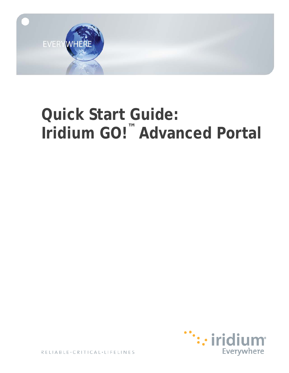

# **Quick Start Guide: Iridium GO! ™ Advanced Portal**

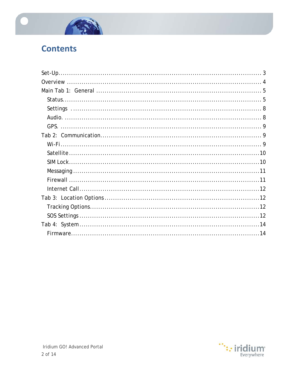

### **Contents**

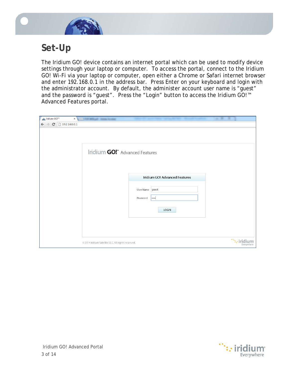

### <span id="page-2-0"></span>**Set-Up**

The Iridium GO! device contains an internet portal which can be used to modify device settings through your laptop or computer. To access the portal, connect to the Iridium GO! Wi-Fi via your laptop or computer, open either a Chrome or Safari internet browser and enter 192.168.0.1 in the address bar. Press Enter on your keyboard and login with the administrator account. By default, the administer account user name is "guest" and the password is "guest". Press the "Login" button to access the Iridium GO!™ Advanced Features portal.

| on Iridium GO!"<br>$\times$              | VALUE ARTICLES - SURVEY RESIDENT                                                                            |                                   |
|------------------------------------------|-------------------------------------------------------------------------------------------------------------|-----------------------------------|
| $\leftarrow$ $\rightarrow$ C 192.168.0.1 |                                                                                                             |                                   |
|                                          | Iridium GO!" Advanced Features<br>Iridium GO! Advanced Features<br>User Name guest<br>Password<br><br>LOGIN |                                   |
|                                          | @ 2014 Iridium Satellite LLC. All rights reserved.                                                          | $\mathbb{Z}_2$ iric<br>Everywhere |

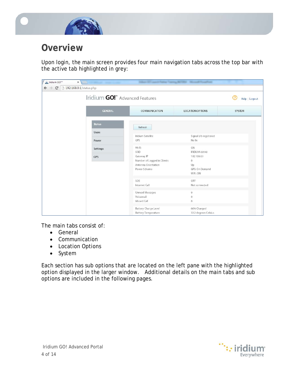

### <span id="page-3-0"></span>**Overview**

Upon login, the main screen provides four main navigation tabs across the top bar with the active tab highlighted in grey:

| <u>cor</u> Iridium GO!™<br>$\times$                                       |                | <b>School Str.</b>                  | <b>AUTORS: Microsoft Freeze Free</b> |               |  |  |  |
|---------------------------------------------------------------------------|----------------|-------------------------------------|--------------------------------------|---------------|--|--|--|
| $\leftarrow$ $\rightarrow$ $\mathbf{C}$ <sup>192.168.0.1/status.php</sup> |                |                                     |                                      |               |  |  |  |
| Iridium GO!" Advanced Features                                            |                | Help   Logout                       |                                      |               |  |  |  |
|                                                                           | <b>GENERAL</b> | COMMUNICATION                       | <b>LOCATION OPTIONS</b>              | <b>SYSTEM</b> |  |  |  |
|                                                                           | <b>Status</b>  | Refresh                             |                                      |               |  |  |  |
|                                                                           | Users          | Iridium Satellite                   | Signal 0/5 registered                |               |  |  |  |
|                                                                           | Power          | GPS                                 | No fix                               |               |  |  |  |
|                                                                           | Settings       | Wi-Fi                               | ON                                   |               |  |  |  |
|                                                                           | GPS            | SSID<br>Gateway IP                  | <b>IRIDIUM-03543</b><br>192.168.0.1  |               |  |  |  |
|                                                                           |                | Number of Logged in Clients         | $\circ$                              |               |  |  |  |
|                                                                           |                | Antenna Orientation<br>Power Scheme | Up<br>GPS: On Demand                 |               |  |  |  |
|                                                                           |                |                                     | WiFi: ON                             |               |  |  |  |
|                                                                           |                | SOS                                 | OFF                                  |               |  |  |  |
|                                                                           |                | Internet Call                       | Not connected                        |               |  |  |  |
|                                                                           |                | Unread Messages                     | $\circ$                              |               |  |  |  |
|                                                                           |                | Voicemail                           | $\mathbf{0}$                         |               |  |  |  |
|                                                                           |                | Missed Call                         | $\circ$                              |               |  |  |  |
|                                                                           |                | Battery Charge Level                | 66% Charged                          |               |  |  |  |
|                                                                           |                | <b>Battery Temperature</b>          | 32.2 degrees Celsius                 |               |  |  |  |

The main tabs consist of:

- General
- Communication
- Location Options
- System

Each section has sub options that are located on the left pane with the highlighted option displayed in the larger window. Additional details on the main tabs and sub options are included in the following pages.

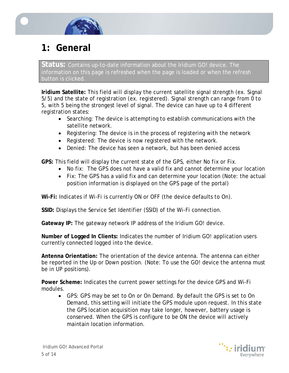

# <span id="page-4-0"></span>**1: General**

<span id="page-4-1"></span>**Status:** Contains up-to-date information about the Iridium GO! device. The information on this page is refreshed when the page is loaded or when the refresh button is clicked.

**Iridium Satellite:** This field will display the current satellite signal strength (ex. Signal 5/5) and the state of registration (ex. registered). Signal strength can range from 0 to 5, with 5 being the strongest level of signal. The device can have up to 4 different registration states:

- Searching: The device is attempting to establish communications with the satellite network.
- Registering: The device is in the process of registering with the network
- Registered: The device is now registered with the network.
- Denied: The device has seen a network, but has been denied access

**GPS:** This field will display the current state of the GPS, either *No fix* or *Fix*.

- No fix: The GPS does not have a valid fix and cannot determine your location
- Fix: The GPS has a valid fix and can determine your location (Note: the actual position information is displayed on the GPS page of the portal)

**Wi-Fi:** Indicates if Wi-Fi is currently *ON* or *OFF* (the device defaults to On).

**SSID:** Displays the Service Set Identifier (SSID) of the Wi-Fi connection.

**Gateway IP:** The gateway network IP address of the Iridium GO! device.

**Number of Logged In Clients:** Indicates the number of Iridium GO! application users currently connected logged into the device.

**Antenna Orientation:** The orientation of the device antenna. The antenna can either be reported in the *Up* or *Down* position. (Note: To use the GO! device the antenna must be in UP positions).

**Power Scheme:** Indicates the current power settings for the device GPS and Wi-Fi modules.

• GPS: GPS may be set to *On* or *On Demand*. By default the GPS is set to *On Demand*, this setting will initiate the GPS module upon request. In this state the GPS location acquisition may take longer, however, battery usage is conserved. When the GPS is configure to be ON the device will actively maintain location information.

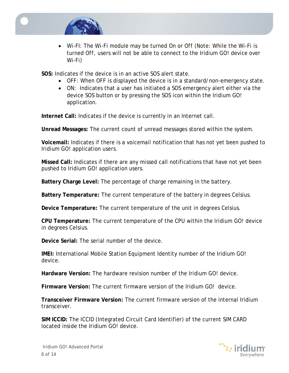

• Wi-FI: The Wi-Fi module may be turned *On* or *Off* (Note: While the Wi-Fi is turned *Off*, users will not be able to connect to the Iridium GO! device over Wi-Fi)

**SOS:** Indicates if the device is in an active SOS alert state.

- OFF: When OFF is displayed the device is in a standard/non-emergency state.
- ON: Indicates that a user has initiated a SOS emergency alert either via the device SOS button or by pressing the SOS icon within the Iridium GO! application.

**Internet Call:** Indicates if the device is currently in an Internet call.

**Unread Messages:** The current count of unread messages stored within the system.

**Voicemail:** Indicates if there is a voicemail notification that has not yet been pushed to Iridium GO! application users.

**Missed Call:** Indicates if there are any missed call notifications that have not yet been pushed to Iridium GO! application users.

**Battery Charge Level:** The percentage of charge remaining in the battery.

**Battery Temperature:** The current temperature of the battery in degrees Celsius.

**Device Temperature:** The current temperature of the unit in degrees Celsius.

**CPU Temperature:** The current temperature of the CPU within the Iridium GO! device in degrees Celsius.

**Device Serial:** The serial number of the device.

**IMEI:** International Mobile Station Equipment Identity number of the Iridium GO! device.

**Hardware Version:** The hardware revision number of the Iridium GO! device.

**Firmware Version:** The current firmware version of the Iridium GO! device.

**Transceiver Firmware Version:** The current firmware version of the internal Iridium transceiver.

**SIM ICCID:** The ICCID (Integrated Circuit Card Identifier) of the current SIM CARD located inside the Iridium GO! device.

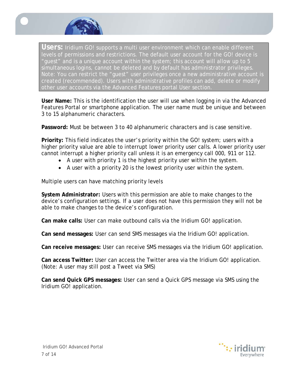

**Users:** Iridium GO! supports a multi user environment which can enable different levels of permissions and restrictions. The default user account for the GO! device is "guest" and is a unique account within the system; this account will allow up to 5 simultaneous logins, cannot be deleted and by default has administrator privileges. Note: You can restrict the "guest" user privileges once a new administrative account is created (recommended). Users with administrative profiles can add, delete or modify other user accounts via the Advanced Features portal User section.

**User Name:** This is the identification the user will use when logging in via the Advanced Features Portal or smartphone application. The user name must be unique and between 3 to 15 alphanumeric characters.

**Password:** Must be between 3 to 40 alphanumeric characters and is case sensitive.

**Priority:** This field indicates the user's priority within the GO! system; users with a higher priority value are able to interrupt lower priority user calls. A lower priority user cannot interrupt a higher priority call unless it is an emergency call 000, 911 or 112.

- A user with priority 1 is the highest priority user within the system.
- A user with a priority 20 is the lowest priority user within the system.

Multiple users can have matching priority levels

**System Administrator:** Users with this permission are able to make changes to the device's configuration settings. If a user does not have this permission they will not be able to make changes to the device's configuration.

**Can make calls:** User can make outbound calls via the Iridium GO! application.

**Can send messages:** User can send SMS messages via the Iridium GO! application.

**Can receive messages:** User can receive SMS messages via the Iridium GO! application.

**Can access Twitter:** User can access the Twitter area via the Iridium GO! application. (Note: A user may still post a Tweet via SMS)

**Can send Quick GPS messages:** User can send a Quick GPS message via SMS using the Iridium GO! application.

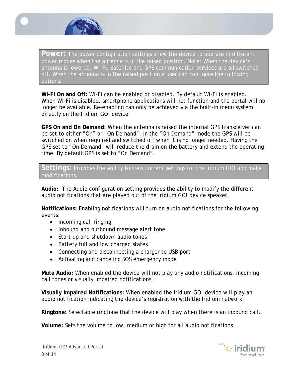

**Power:** The power configuration settings allow the device to operate in different power modes when the antenna is in the raised position. Note: When the device's antenna is lowered, Wi-Fi, Satellite and GPS communication services are all switched off. When the antenna is in the raised position a user can configure the following options:

**Wi-Fi On and Off:** Wi-Fi can be enabled or disabled. By default Wi-Fi is enabled. When Wi-Fi is disabled, smartphone applications will not function and the portal will no longer be available. Re-enabling can only be achieved via the built-in menu system directly on the Iridium GO! device.

**GPS On and On Demand:** When the antenna is raised the internal GPS transceiver can be set to either "On" or "On Demand". In the "On Demand" mode the GPS will be switched on when required and switched off when it is no longer needed. Having the GPS set to "On Demand" will reduce the drain on the battery and extend the operating time. By default GPS is set to "On Demand".

<span id="page-7-0"></span>Settings: Provides the ability to view current settings for the Iridium GO! and make modifications.

<span id="page-7-1"></span>**Audio:** The Audio configuration setting provides the ability to modify the different audio notifications that are played out of the Iridium GO! device speaker.

**Notifications:** Enabling notifications will turn on audio notifications for the following events:

- Incoming call ringing
- Inbound and outbound message alert tone
- Start up and shutdown audio tones
- Battery full and low charged states
- Connecting and disconnecting a charger to USB port
- Activating and canceling SOS emergency mode

**Mute Audio:** When enabled the device will not play any audio notifications, incoming call tones or visually impaired notifications.

**Visually Impaired Notifications:** When enabled the Iridium GO! device will play an audio notification indicating the device's registration with the Iridium network.

**Ringtone:** Selectable ringtone that the device will play when there is an inbound call.

**Volume:** Sets the volume to low, medium or high for all audio notifications

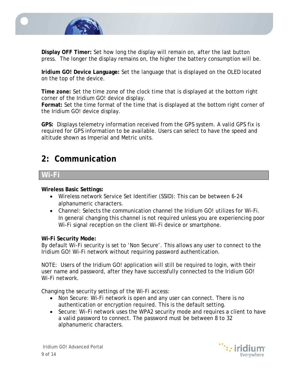

**Display OFF Timer:** Set how long the display will remain on, after the last button press. The longer the display remains on, the higher the battery consumption will be.

**Iridium GO! Device Language:** Set the language that is displayed on the OLED located on the top of the device.

**Time zone:** Set the time zone of the clock time that is displayed at the bottom right corner of the Iridium GO! device display.

**Format:** Set the time format of the time that is displayed at the bottom right corner of the Iridium GO! device display.

<span id="page-8-0"></span>**GPS:** Displays telemetry information received from the GPS system. A valid GPS fix is required for GPS information to be available. Users can select to have the speed and altitude shown as Imperial and Metric units.

### <span id="page-8-1"></span>**2: Communication**

#### <span id="page-8-2"></span>**Wi-Fi**

#### **Wireless Basic Settings:**

- Wireless network Service Set Identifier (SSID): This can be between 6-24 alphanumeric characters.
- Channel: Selects the communication channel the Iridium GO! utilizes for Wi-Fi. In general changing this channel is not required unless you are experiencing poor Wi-Fi signal reception on the client Wi-Fi device or smartphone.

#### **Wi-Fi Security Mode:**

By default Wi-Fi security is set to 'Non Secure'. This allows any user to connect to the Iridium GO! Wi-Fi network without requiring password authentication.

NOTE: Users of the Iridium GO! application will still be required to login, with their user name and password, after they have successfully connected to the Iridium GO! Wi-Fi network.

Changing the security settings of the Wi-Fi access:

- Non Secure: Wi-Fi network is open and any user can connect. There is no authentication or encryption required. This is the default setting.
- Secure: Wi-Fi network uses the WPA2 security mode and requires a client to have a valid password to connect. The password must be between 8 to 32 alphanumeric characters.

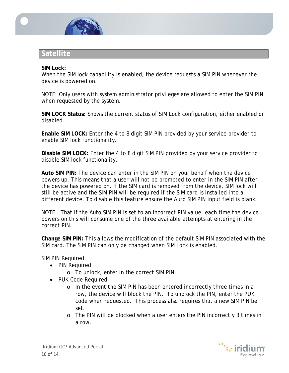

### <span id="page-9-0"></span>**Satellite**

#### <span id="page-9-1"></span>**SIM Lock:**

When the SIM lock capability is enabled, the device requests a SIM PIN whenever the device is powered on.

NOTE: Only users with system administrator privileges are allowed to enter the SIM PIN when requested by the system.

**SIM LOCK Status:** Shows the current status of SIM Lock configuration, either enabled or disabled.

**Enable SIM LOCK:** Enter the 4 to 8 digit SIM PIN provided by your service provider to enable SIM lock functionality.

**Disable SIM LOCK:** Enter the 4 to 8 digit SIM PIN provided by your service provider to disable SIM lock functionality.

**Auto SIM PIN:** The device can enter in the SIM PIN on your behalf when the device powers up. This means that a user will not be prompted to enter in the SIM PIN after the device has powered on. If the SIM card is removed from the device, SIM lock will still be active and the SIM PIN will be required if the SIM card is installed into a different device. To disable this feature ensure the Auto SIM PIN input field is blank.

NOTE: That if the Auto SIM PIN is set to an incorrect PIN value, each time the device powers on this will consume one of the three available attempts at entering in the correct PIN.

**Change SIM PIN:** This allows the modification of the default SIM PIN associated with the SIM card. The SIM PIN can only be changed when SIM Lock is enabled.

SIM PIN Required:

- PIN Required
	- o To unlock, enter in the correct SIM PIN
- PUK Code Required
	- o In the event the SIM PIN has been entered incorrectly three times in a row, the device will block the PIN. To unblock the PIN, enter the PUK code when requested. This process also requires that a new SIM PIN be set.
	- o The PIN will be blocked when a user enters the PIN incorrectly 3 times in a row.

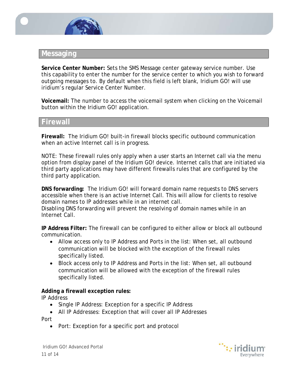

#### <span id="page-10-0"></span>**Messaging**

**Service Center Number:** Sets the SMS Message center gateway service number. Use this capability to enter the number for the service center to which you wish to forward outgoing messages to. By default when this field is left blank, Iridium GO! will use iridium's regular Service Center Number.

**Voicemail:** The number to access the voicemail system when clicking on the Voicemail button within the Iridium GO! application.

#### <span id="page-10-1"></span>**Firewall**

**Firewall:** The Iridium GO! built-in firewall blocks specific outbound communication when an active Internet call is in progress.

NOTE: These firewall rules only apply when a user starts an Internet call via the menu option from display panel of the Iridium GO! device. Internet calls that are initiated via third party applications may have different firewalls rules that are configured by the third party application.

**DNS forwarding:** The Iridium GO! will forward domain name requests to DNS servers accessible when there is an active Internet Call. This will allow for clients to resolve domain names to IP addresses while in an internet call.

Disabling DNS forwarding will prevent the resolving of domain names while in an Internet Call.

**IP Address Filter:** The firewall can be configured to either allow or block all outbound communication.

- Allow access only to IP Address and Ports in the list: When set, all outbound communication will be blocked with the exception of the firewall rules specifically listed.
- Block access only to IP Address and Ports in the list: When set, all outbound communication will be allowed with the exception of the firewall rules specifically listed.

#### **Adding a firewall exception rules:**

IP Address

- Single IP Address: Exception for a specific IP Address
- All IP Addresses: Exception that will cover all IP Addresses Port
	- Port: Exception for a specific port and protocol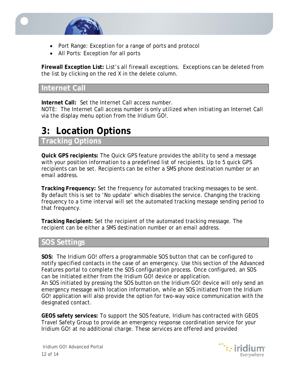

- Port Range: Exception for a range of ports and protocol
- All Ports: Exception for all ports

**Firewall Exception List:** List's all firewall exceptions. Exceptions can be deleted from the list by clicking on the red X in the delete column.

#### <span id="page-11-0"></span>**Internet Call**

**Internet Call:** Set the Internet Call access number.

NOTE: The Internet Call access number is only utilized when initiating an Internet Call via the display menu option from the Iridium GO!.

# <span id="page-11-1"></span>**3: Location Options**

#### <span id="page-11-2"></span>**Tracking Options**

**Quick GPS recipients:** The Quick GPS feature provides the ability to send a message with your position information to a predefined list of recipients. Up to 5 quick GPS recipients can be set. Recipients can be either a SMS phone destination number or an email address.

**Tracking Frequency:** Set the frequency for automated tracking messages to be sent. By default this is set to 'No update' which disables the service. Changing the tracking frequency to a time interval will set the automated tracking message sending period to that frequency.

**Tracking Recipient:** Set the recipient of the automated tracking message. The recipient can be either a SMS destination number or an email address.

### <span id="page-11-3"></span>**SOS Settings**

**SOS:** The Iridium GO! offers a programmable SOS button that can be configured to notify specified contacts in the case of an emergency. Use this section of the Advanced Features portal to complete the SOS configuration process. Once configured, an SOS can be initiated either from the Iridium GO! device or application.

An SOS initiated by pressing the SOS button on the Iridium GO! device will only send an emergency message with location information, while an SOS initiated from the Iridium GO! application will also provide the option for two-way voice communication with the designated contact.

**GEOS safety services:** To support the SOS feature, Iridium has contracted with GEOS Travel Safety Group to provide an emergency response coordination service for your Iridium GO! at no additional charge. These services are offered and provided

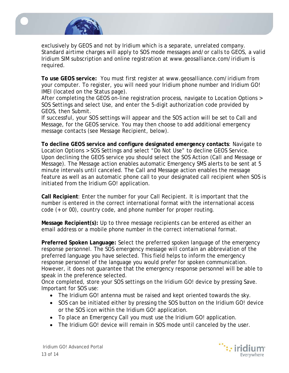

exclusively by GEOS and not by Iridium which is a separate, unrelated company. Standard airtime charges will apply to SOS mode messages and/or calls to GEOS, a valid Iridium SIM subscription and online registration at www.geosalliance.com/iridium is required.

**To use GEOS service:** You must first register at www.geosalliance.com/iridium from your computer. To register, you will need your Iridium phone number and Iridium GO! IMEI (located on the Status page).

After completing the GEOS on-line registration process, navigate to Location Options > SOS Settings and select Use, and enter the 5-digit authorization code provided by GEOS, then Submit.

If successful, your SOS settings will appear and the SOS action will be set to Call and Message, for the GEOS service. You may then choose to add additional emergency message contacts (see Message Recipient, below).

**To decline GEOS service and configure designated emergency contacts**: Navigate to Location Options > SOS Settings and select "Do Not Use" to decline GEOS Service. Upon declining the GEOS service you should select the SOS Action (Call and Message or Message). The Message action enables automatic Emergency SMS alerts to be sent at 5 minute intervals until canceled. The Call and Message action enables the message feature as well as an automatic phone call to your designated call recipient when SOS is initiated from the Iridium GO! application.

**Call Recipient**: Enter the number for your Call Recipient. It is important that the number is entered in the correct international format with the international access code (+ or 00), country code, and phone number for proper routing.

**Message Recipient(s):** Up to three message recipients can be entered as either an email address or a mobile phone number in the correct international format.

**Preferred Spoken Language:** Select the preferred spoken language of the emergency response personnel. The SOS emergency message will contain an abbreviation of the preferred language you have selected. This field helps to inform the emergency response personnel of the language you would prefer for spoken communication. However, it does not guarantee that the emergency response personnel will be able to speak in the preference selected.

Once completed, store your SOS settings on the Iridium GO! device by pressing Save. Important for SOS use:

- The Iridium GO! antenna must be raised and kept oriented towards the sky.
- SOS can be initiated either by pressing the SOS button on the Iridium GO! device or the SOS icon within the Iridium GO! application.
- To place an Emergency Call you must use the Iridium GO! application.
- The Iridium GO! device will remain in SOS mode until canceled by the user.